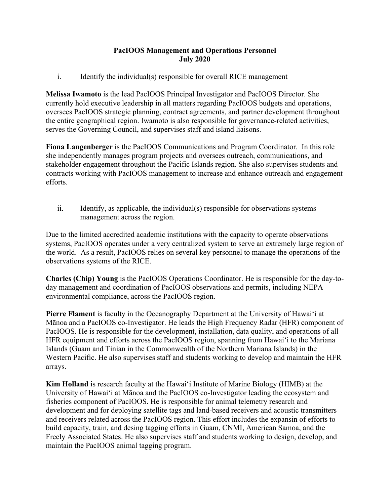## **PacIOOS Management and Operations Personnel July 2020**

i. Identify the individual(s) responsible for overall RICE management

**Melissa Iwamoto** is the lead PacIOOS Principal Investigator and PacIOOS Director. She currently hold executive leadership in all matters regarding PacIOOS budgets and operations, oversees PacIOOS strategic planning, contract agreements, and partner development throughout the entire geographical region. Iwamoto is also responsible for governance-related activities, serves the Governing Council, and supervises staff and island liaisons.

**Fiona Langenberger** is the PacIOOS Communications and Program Coordinator. In this role she independently manages program projects and oversees outreach, communications, and stakeholder engagement throughout the Pacific Islands region. She also supervises students and contracts working with PacIOOS management to increase and enhance outreach and engagement efforts.

ii. Identify, as applicable, the individual(s) responsible for observations systems management across the region.

Due to the limited accredited academic institutions with the capacity to operate observations systems, PacIOOS operates under a very centralized system to serve an extremely large region of the world. As a result, PacIOOS relies on several key personnel to manage the operations of the observations systems of the RICE.

**Charles (Chip) Young** is the PacIOOS Operations Coordinator. He is responsible for the day-today management and coordination of PacIOOS observations and permits, including NEPA environmental compliance, across the PacIOOS region.

**Pierre Flament** is faculty in the Oceanography Department at the University of Hawaiʻi at Mānoa and a PacIOOS co-Investigator. He leads the High Frequency Radar (HFR) component of PacIOOS. He is responsible for the development, installation, data quality, and operations of all HFR equipment and efforts across the PacIOOS region, spanning from Hawaiʻi to the Mariana Islands (Guam and Tinian in the Commonwealth of the Northern Mariana Islands) in the Western Pacific. He also supervises staff and students working to develop and maintain the HFR arrays.

**Kim Holland** is research faculty at the Hawaiʻi Institute of Marine Biology (HIMB) at the University of Hawaiʻi at Mānoa and the PacIOOS co-Investigator leading the ecosystem and fisheries component of PacIOOS. He is responsible for animal telemetry research and development and for deploying satellite tags and land-based receivers and acoustic transmitters and receivers related across the PacIOOS region. This effort includes the expansin of efforts to build capacity, train, and desing tagging efforts in Guam, CNMI, American Samoa, and the Freely Associated States. He also supervises staff and students working to design, develop, and maintain the PacIOOS animal tagging program.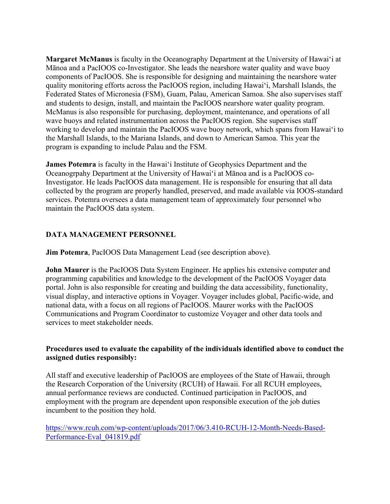**Margaret McManus** is faculty in the Oceanography Department at the University of Hawaiʻi at Mānoa and a PacIOOS co-Investigator. She leads the nearshore water quality and wave buoy components of PacIOOS. She is responsible for designing and maintaining the nearshore water quality monitoring efforts across the PacIOOS region, including Hawaiʻi, Marshall Islands, the Federated States of Micronesia (FSM), Guam, Palau, American Samoa. She also supervises staff and students to design, install, and maintain the PacIOOS nearshore water quality program. McManus is also responsible for purchasing, deployment, maintenance, and operations of all wave buoys and related instrumentation across the PacIOOS region. She supervises staff working to develop and maintain the PacIOOS wave buoy network, which spans from Hawaiʻi to the Marshall Islands, to the Mariana Islands, and down to American Samoa. This year the program is expanding to include Palau and the FSM.

**James Potemra** is faculty in the Hawaiʻi Institute of Geophysics Department and the Oceanogrpahy Department at the University of Hawaiʻi at Mānoa and is a PacIOOS co-Investigator. He leads PacIOOS data management. He is responsible for ensuring that all data collected by the program are properly handled, preserved, and made available via IOOS-standard services. Potemra oversees a data management team of approximately four personnel who maintain the PacIOOS data system.

## **DATA MANAGEMENT PERSONNEL**

**Jim Potemra**, PacIOOS Data Management Lead (see description above).

**John Maurer** is the PacIOOS Data System Engineer. He applies his extensive computer and programming capabilities and knowledge to the development of the PacIOOS Voyager data portal. John is also responsible for creating and building the data accessibility, functionality, visual display, and interactive options in Voyager. Voyager includes global, Pacific-wide, and national data, with a focus on all regions of PacIOOS. Maurer works with the PacIOOS Communications and Program Coordinator to customize Voyager and other data tools and services to meet stakeholder needs.

## **Procedures used to evaluate the capability of the individuals identified above to conduct the assigned duties responsibly:**

All staff and executive leadership of PacIOOS are employees of the State of Hawaii, through the Research Corporation of the University (RCUH) of Hawaii. For all RCUH employees, annual performance reviews are conducted. Continued participation in PacIOOS, and employment with the program are dependent upon responsible execution of the job duties incumbent to the position they hold.

https://www.rcuh.com/wp-content/uploads/2017/06/3.410-RCUH-12-Month-Needs-Based-Performance-Eval\_041819.pdf